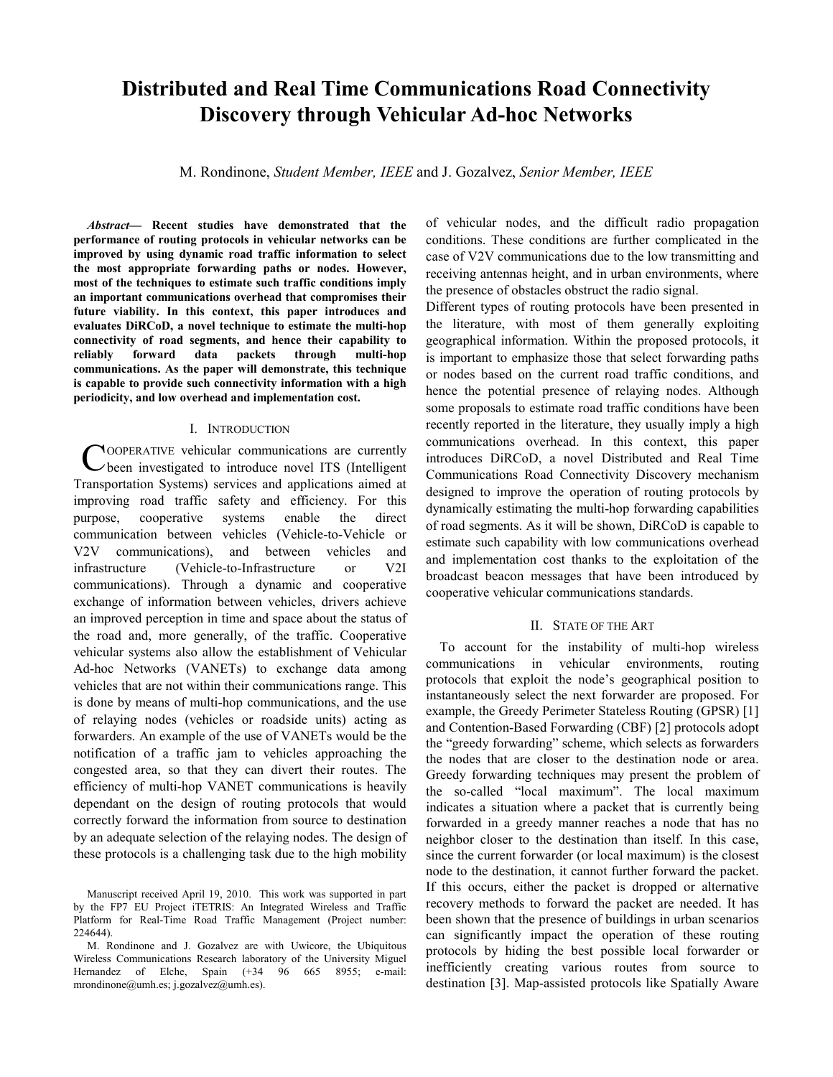# Distributed and Real Time Communications Road Connectivity Discovery through Vehicular Ad-hoc Networks

M. Rondinone, Student Member, IEEE and J. Gozalvez, Senior Member, IEEE

Abstract— Recent studies have demonstrated that the performance of routing protocols in vehicular networks can be improved by using dynamic road traffic information to select the most appropriate forwarding paths or nodes. However, most of the techniques to estimate such traffic conditions imply an important communications overhead that compromises their future viability. In this context, this paper introduces and evaluates DiRCoD, a novel technique to estimate the multi-hop connectivity of road segments, and hence their capability to reliably forward data packets through multi-hop communications. As the paper will demonstrate, this technique is capable to provide such connectivity information with a high periodicity, and low overhead and implementation cost.

#### I. INTRODUCTION

COOPERATIVE vehicular communications are currently<br>
been investigated to introduce novel ITS (Intelligent been investigated to introduce novel ITS (Intelligent Transportation Systems) services and applications aimed at improving road traffic safety and efficiency. For this purpose, cooperative systems enable the direct communication between vehicles (Vehicle-to-Vehicle or V2V communications), and between vehicles and infrastructure (Vehicle-to-Infrastructure or V2I communications). Through a dynamic and cooperative exchange of information between vehicles, drivers achieve an improved perception in time and space about the status of the road and, more generally, of the traffic. Cooperative vehicular systems also allow the establishment of Vehicular Ad-hoc Networks (VANETs) to exchange data among vehicles that are not within their communications range. This is done by means of multi-hop communications, and the use of relaying nodes (vehicles or roadside units) acting as forwarders. An example of the use of VANETs would be the notification of a traffic jam to vehicles approaching the congested area, so that they can divert their routes. The efficiency of multi-hop VANET communications is heavily dependant on the design of routing protocols that would correctly forward the information from source to destination by an adequate selection of the relaying nodes. The design of these protocols is a challenging task due to the high mobility

of vehicular nodes, and the difficult radio propagation conditions. These conditions are further complicated in the case of V2V communications due to the low transmitting and receiving antennas height, and in urban environments, where the presence of obstacles obstruct the radio signal.

Different types of routing protocols have been presented in the literature, with most of them generally exploiting geographical information. Within the proposed protocols, it is important to emphasize those that select forwarding paths or nodes based on the current road traffic conditions, and hence the potential presence of relaying nodes. Although some proposals to estimate road traffic conditions have been recently reported in the literature, they usually imply a high communications overhead. In this context, this paper introduces DiRCoD, a novel Distributed and Real Time Communications Road Connectivity Discovery mechanism designed to improve the operation of routing protocols by dynamically estimating the multi-hop forwarding capabilities of road segments. As it will be shown, DiRCoD is capable to estimate such capability with low communications overhead and implementation cost thanks to the exploitation of the broadcast beacon messages that have been introduced by cooperative vehicular communications standards.

#### II. STATE OF THE ART

To account for the instability of multi-hop wireless communications in vehicular environments, routing protocols that exploit the node's geographical position to instantaneously select the next forwarder are proposed. For example, the Greedy Perimeter Stateless Routing (GPSR) [1] and Contention-Based Forwarding (CBF) [2] protocols adopt the "greedy forwarding" scheme, which selects as forwarders the nodes that are closer to the destination node or area. Greedy forwarding techniques may present the problem of the so-called "local maximum". The local maximum indicates a situation where a packet that is currently being forwarded in a greedy manner reaches a node that has no neighbor closer to the destination than itself. In this case, since the current forwarder (or local maximum) is the closest node to the destination, it cannot further forward the packet. If this occurs, either the packet is dropped or alternative recovery methods to forward the packet are needed. It has been shown that the presence of buildings in urban scenarios can significantly impact the operation of these routing protocols by hiding the best possible local forwarder or inefficiently creating various routes from source to destination [3]. Map-assisted protocols like Spatially Aware

Manuscript received April 19, 2010. This work was supported in part by the FP7 EU Project iTETRIS: An Integrated Wireless and Traffic Platform for Real-Time Road Traffic Management (Project number: 224644).

M. Rondinone and J. Gozalvez are with Uwicore, the Ubiquitous Wireless Communications Research laboratory of the University Miguel Hernandez of Elche, Spain (+34 96 665 8955; e-mail: mrondinone@umh.es; j.gozalvez@umh.es).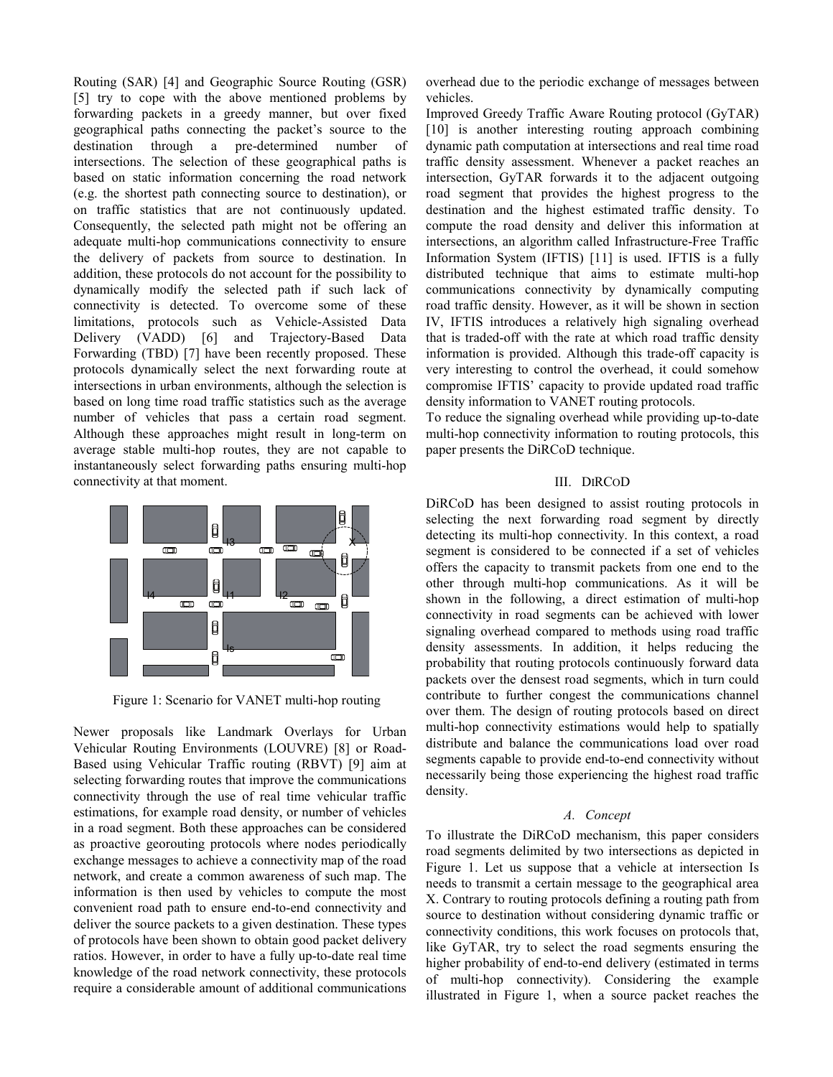Routing (SAR) [4] and Geographic Source Routing (GSR) [5] try to cope with the above mentioned problems by forwarding packets in a greedy manner, but over fixed geographical paths connecting the packet's source to the destination through a pre-determined number of intersections. The selection of these geographical paths is based on static information concerning the road network (e.g. the shortest path connecting source to destination), or on traffic statistics that are not continuously updated. Consequently, the selected path might not be offering an adequate multi-hop communications connectivity to ensure the delivery of packets from source to destination. In addition, these protocols do not account for the possibility to dynamically modify the selected path if such lack of connectivity is detected. To overcome some of these limitations, protocols such as Vehicle-Assisted Data Delivery (VADD) [6] and Trajectory-Based Data Forwarding (TBD) [7] have been recently proposed. These protocols dynamically select the next forwarding route at intersections in urban environments, although the selection is based on long time road traffic statistics such as the average number of vehicles that pass a certain road segment. Although these approaches might result in long-term on average stable multi-hop routes, they are not capable to instantaneously select forwarding paths ensuring multi-hop connectivity at that moment.



Figure 1: Scenario for VANET multi-hop routing

Newer proposals like Landmark Overlays for Urban Vehicular Routing Environments (LOUVRE) [8] or Road-Based using Vehicular Traffic routing (RBVT) [9] aim at selecting forwarding routes that improve the communications connectivity through the use of real time vehicular traffic estimations, for example road density, or number of vehicles in a road segment. Both these approaches can be considered as proactive georouting protocols where nodes periodically exchange messages to achieve a connectivity map of the road network, and create a common awareness of such map. The information is then used by vehicles to compute the most convenient road path to ensure end-to-end connectivity and deliver the source packets to a given destination. These types of protocols have been shown to obtain good packet delivery ratios. However, in order to have a fully up-to-date real time knowledge of the road network connectivity, these protocols require a considerable amount of additional communications overhead due to the periodic exchange of messages between vehicles.

Improved Greedy Traffic Aware Routing protocol (GyTAR) [10] is another interesting routing approach combining dynamic path computation at intersections and real time road traffic density assessment. Whenever a packet reaches an intersection, GyTAR forwards it to the adjacent outgoing road segment that provides the highest progress to the destination and the highest estimated traffic density. To compute the road density and deliver this information at intersections, an algorithm called Infrastructure-Free Traffic Information System (IFTIS) [11] is used. IFTIS is a fully distributed technique that aims to estimate multi-hop communications connectivity by dynamically computing road traffic density. However, as it will be shown in section IV, IFTIS introduces a relatively high signaling overhead that is traded-off with the rate at which road traffic density information is provided. Although this trade-off capacity is very interesting to control the overhead, it could somehow compromise IFTIS' capacity to provide updated road traffic density information to VANET routing protocols.

To reduce the signaling overhead while providing up-to-date multi-hop connectivity information to routing protocols, this paper presents the DiRCoD technique.

## III. DIRCOD

DiRCoD has been designed to assist routing protocols in selecting the next forwarding road segment by directly detecting its multi-hop connectivity. In this context, a road segment is considered to be connected if a set of vehicles offers the capacity to transmit packets from one end to the other through multi-hop communications. As it will be shown in the following, a direct estimation of multi-hop connectivity in road segments can be achieved with lower signaling overhead compared to methods using road traffic density assessments. In addition, it helps reducing the probability that routing protocols continuously forward data packets over the densest road segments, which in turn could contribute to further congest the communications channel over them. The design of routing protocols based on direct multi-hop connectivity estimations would help to spatially distribute and balance the communications load over road segments capable to provide end-to-end connectivity without necessarily being those experiencing the highest road traffic density.

# A. Concept

To illustrate the DiRCoD mechanism, this paper considers road segments delimited by two intersections as depicted in Figure 1. Let us suppose that a vehicle at intersection Is needs to transmit a certain message to the geographical area X. Contrary to routing protocols defining a routing path from source to destination without considering dynamic traffic or connectivity conditions, this work focuses on protocols that, like GyTAR, try to select the road segments ensuring the higher probability of end-to-end delivery (estimated in terms of multi-hop connectivity). Considering the example illustrated in Figure 1, when a source packet reaches the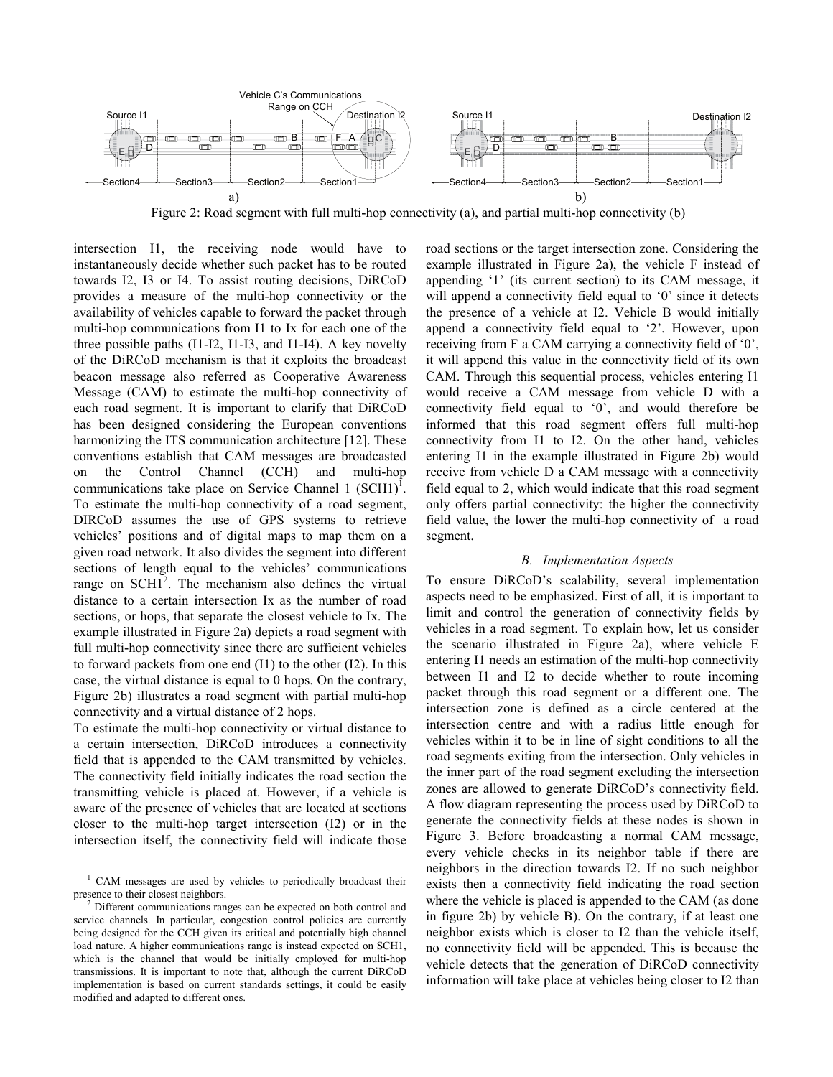

Figure 2: Road segment with full multi-hop connectivity (a), and partial multi-hop connectivity (b)

intersection I1, the receiving node would have to instantaneously decide whether such packet has to be routed towards I2, I3 or I4. To assist routing decisions, DiRCoD provides a measure of the multi-hop connectivity or the availability of vehicles capable to forward the packet through multi-hop communications from I1 to Ix for each one of the three possible paths (I1-I2, I1-I3, and I1-I4). A key novelty of the DiRCoD mechanism is that it exploits the broadcast beacon message also referred as Cooperative Awareness Message (CAM) to estimate the multi-hop connectivity of each road segment. It is important to clarify that DiRCoD has been designed considering the European conventions harmonizing the ITS communication architecture [12]. These conventions establish that CAM messages are broadcasted on the Control Channel (CCH) and multi-hop communications take place on Service Channel 1  $(SCH1)^T$ . To estimate the multi-hop connectivity of a road segment, DIRCoD assumes the use of GPS systems to retrieve vehicles' positions and of digital maps to map them on a given road network. It also divides the segment into different sections of length equal to the vehicles' communications range on  $SCH1<sup>2</sup>$ . The mechanism also defines the virtual distance to a certain intersection Ix as the number of road sections, or hops, that separate the closest vehicle to Ix. The example illustrated in Figure 2a) depicts a road segment with full multi-hop connectivity since there are sufficient vehicles to forward packets from one end (I1) to the other (I2). In this case, the virtual distance is equal to 0 hops. On the contrary, Figure 2b) illustrates a road segment with partial multi-hop connectivity and a virtual distance of 2 hops.

To estimate the multi-hop connectivity or virtual distance to a certain intersection, DiRCoD introduces a connectivity field that is appended to the CAM transmitted by vehicles. The connectivity field initially indicates the road section the transmitting vehicle is placed at. However, if a vehicle is aware of the presence of vehicles that are located at sections closer to the multi-hop target intersection (I2) or in the intersection itself, the connectivity field will indicate those

road sections or the target intersection zone. Considering the example illustrated in Figure 2a), the vehicle F instead of appending '1' (its current section) to its CAM message, it will append a connectivity field equal to '0' since it detects the presence of a vehicle at I2. Vehicle B would initially append a connectivity field equal to '2'. However, upon receiving from F a CAM carrying a connectivity field of '0', it will append this value in the connectivity field of its own CAM. Through this sequential process, vehicles entering I1 would receive a CAM message from vehicle D with a connectivity field equal to '0', and would therefore be informed that this road segment offers full multi-hop connectivity from I1 to I2. On the other hand, vehicles entering I1 in the example illustrated in Figure 2b) would receive from vehicle D a CAM message with a connectivity field equal to 2, which would indicate that this road segment only offers partial connectivity: the higher the connectivity field value, the lower the multi-hop connectivity of a road segment.

### B. Implementation Aspects

To ensure DiRCoD's scalability, several implementation aspects need to be emphasized. First of all, it is important to limit and control the generation of connectivity fields by vehicles in a road segment. To explain how, let us consider the scenario illustrated in Figure 2a), where vehicle E entering I1 needs an estimation of the multi-hop connectivity between I1 and I2 to decide whether to route incoming packet through this road segment or a different one. The intersection zone is defined as a circle centered at the intersection centre and with a radius little enough for vehicles within it to be in line of sight conditions to all the road segments exiting from the intersection. Only vehicles in the inner part of the road segment excluding the intersection zones are allowed to generate DiRCoD's connectivity field. A flow diagram representing the process used by DiRCoD to generate the connectivity fields at these nodes is shown in Figure 3. Before broadcasting a normal CAM message, every vehicle checks in its neighbor table if there are neighbors in the direction towards I2. If no such neighbor exists then a connectivity field indicating the road section where the vehicle is placed is appended to the CAM (as done in figure 2b) by vehicle B). On the contrary, if at least one neighbor exists which is closer to I2 than the vehicle itself, no connectivity field will be appended. This is because the vehicle detects that the generation of DiRCoD connectivity information will take place at vehicles being closer to I2 than

<sup>&</sup>lt;sup>1</sup> CAM messages are used by vehicles to periodically broadcast their presence to their closest neighbors.

<sup>&</sup>lt;sup>2</sup> Different communications ranges can be expected on both control and service channels. In particular, congestion control policies are currently being designed for the CCH given its critical and potentially high channel load nature. A higher communications range is instead expected on SCH1, which is the channel that would be initially employed for multi-hop transmissions. It is important to note that, although the current DiRCoD implementation is based on current standards settings, it could be easily modified and adapted to different ones.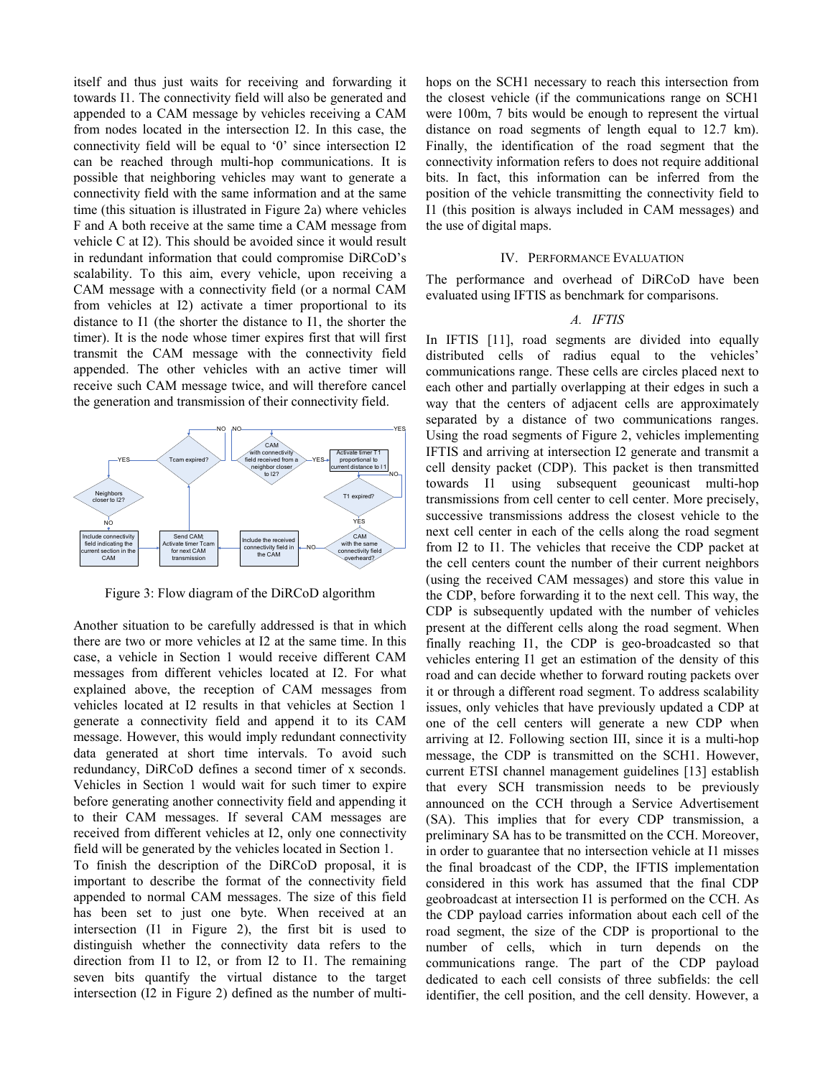itself and thus just waits for receiving and forwarding it towards I1. The connectivity field will also be generated and appended to a CAM message by vehicles receiving a CAM from nodes located in the intersection I2. In this case, the connectivity field will be equal to '0' since intersection I2 can be reached through multi-hop communications. It is possible that neighboring vehicles may want to generate a connectivity field with the same information and at the same time (this situation is illustrated in Figure 2a) where vehicles F and A both receive at the same time a CAM message from vehicle C at I2). This should be avoided since it would result in redundant information that could compromise DiRCoD's scalability. To this aim, every vehicle, upon receiving a CAM message with a connectivity field (or a normal CAM from vehicles at I2) activate a timer proportional to its distance to I1 (the shorter the distance to I1, the shorter the timer). It is the node whose timer expires first that will first transmit the CAM message with the connectivity field appended. The other vehicles with an active timer will receive such CAM message twice, and will therefore cancel the generation and transmission of their connectivity field.



Figure 3: Flow diagram of the DiRCoD algorithm

Another situation to be carefully addressed is that in which there are two or more vehicles at I2 at the same time. In this case, a vehicle in Section 1 would receive different CAM messages from different vehicles located at I2. For what explained above, the reception of CAM messages from vehicles located at I2 results in that vehicles at Section 1 generate a connectivity field and append it to its CAM message. However, this would imply redundant connectivity data generated at short time intervals. To avoid such redundancy, DiRCoD defines a second timer of x seconds. Vehicles in Section 1 would wait for such timer to expire before generating another connectivity field and appending it to their CAM messages. If several CAM messages are received from different vehicles at I2, only one connectivity field will be generated by the vehicles located in Section 1.

To finish the description of the DiRCoD proposal, it is important to describe the format of the connectivity field appended to normal CAM messages. The size of this field has been set to just one byte. When received at an intersection (I1 in Figure 2), the first bit is used to distinguish whether the connectivity data refers to the direction from I1 to I2, or from I2 to I1. The remaining seven bits quantify the virtual distance to the target intersection (I2 in Figure 2) defined as the number of multihops on the SCH1 necessary to reach this intersection from the closest vehicle (if the communications range on SCH1 were 100m, 7 bits would be enough to represent the virtual distance on road segments of length equal to 12.7 km). Finally, the identification of the road segment that the connectivity information refers to does not require additional bits. In fact, this information can be inferred from the position of the vehicle transmitting the connectivity field to I1 (this position is always included in CAM messages) and the use of digital maps.

## IV. PERFORMANCE EVALUATION

The performance and overhead of DiRCoD have been evaluated using IFTIS as benchmark for comparisons.

## A. IFTIS

In IFTIS [11], road segments are divided into equally distributed cells of radius equal to the vehicles' communications range. These cells are circles placed next to each other and partially overlapping at their edges in such a way that the centers of adjacent cells are approximately separated by a distance of two communications ranges. Using the road segments of Figure 2, vehicles implementing IFTIS and arriving at intersection I2 generate and transmit a cell density packet (CDP). This packet is then transmitted towards I1 using subsequent geounicast multi-hop transmissions from cell center to cell center. More precisely, successive transmissions address the closest vehicle to the next cell center in each of the cells along the road segment from I2 to I1. The vehicles that receive the CDP packet at the cell centers count the number of their current neighbors (using the received CAM messages) and store this value in the CDP, before forwarding it to the next cell. This way, the CDP is subsequently updated with the number of vehicles present at the different cells along the road segment. When finally reaching I1, the CDP is geo-broadcasted so that vehicles entering I1 get an estimation of the density of this road and can decide whether to forward routing packets over it or through a different road segment. To address scalability issues, only vehicles that have previously updated a CDP at one of the cell centers will generate a new CDP when arriving at I2. Following section III, since it is a multi-hop message, the CDP is transmitted on the SCH1. However, current ETSI channel management guidelines [13] establish that every SCH transmission needs to be previously announced on the CCH through a Service Advertisement (SA). This implies that for every CDP transmission, a preliminary SA has to be transmitted on the CCH. Moreover, in order to guarantee that no intersection vehicle at I1 misses the final broadcast of the CDP, the IFTIS implementation considered in this work has assumed that the final CDP geobroadcast at intersection I1 is performed on the CCH. As the CDP payload carries information about each cell of the road segment, the size of the CDP is proportional to the number of cells, which in turn depends on the communications range. The part of the CDP payload dedicated to each cell consists of three subfields: the cell identifier, the cell position, and the cell density. However, a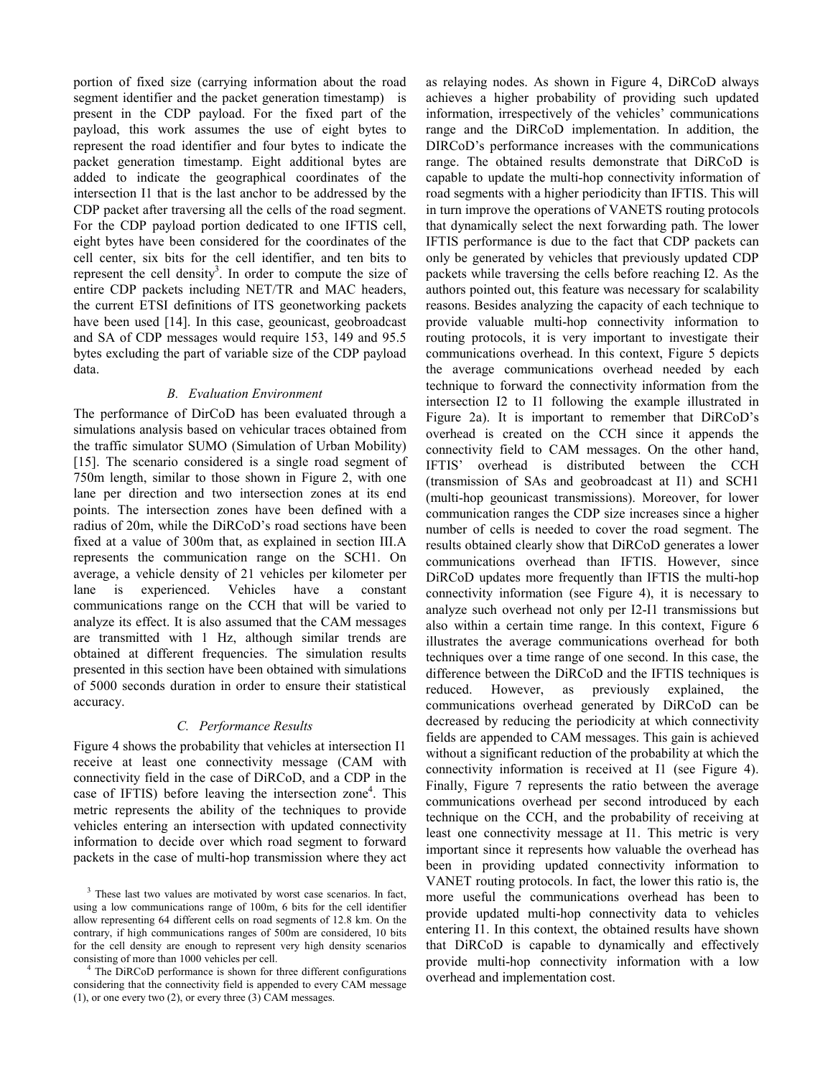portion of fixed size (carrying information about the road segment identifier and the packet generation timestamp) is present in the CDP payload. For the fixed part of the payload, this work assumes the use of eight bytes to represent the road identifier and four bytes to indicate the packet generation timestamp. Eight additional bytes are added to indicate the geographical coordinates of the intersection I1 that is the last anchor to be addressed by the CDP packet after traversing all the cells of the road segment. For the CDP payload portion dedicated to one IFTIS cell, eight bytes have been considered for the coordinates of the cell center, six bits for the cell identifier, and ten bits to represent the cell density<sup>3</sup>. In order to compute the size of entire CDP packets including NET/TR and MAC headers, the current ETSI definitions of ITS geonetworking packets have been used [14]. In this case, geounicast, geobroadcast and SA of CDP messages would require 153, 149 and 95.5 bytes excluding the part of variable size of the CDP payload data.

# B. Evaluation Environment

The performance of DirCoD has been evaluated through a simulations analysis based on vehicular traces obtained from the traffic simulator SUMO (Simulation of Urban Mobility) [15]. The scenario considered is a single road segment of 750m length, similar to those shown in Figure 2, with one lane per direction and two intersection zones at its end points. The intersection zones have been defined with a radius of 20m, while the DiRCoD's road sections have been fixed at a value of 300m that, as explained in section III.A represents the communication range on the SCH1. On average, a vehicle density of 21 vehicles per kilometer per lane is experienced. Vehicles have a constant communications range on the CCH that will be varied to analyze its effect. It is also assumed that the CAM messages are transmitted with 1 Hz, although similar trends are obtained at different frequencies. The simulation results presented in this section have been obtained with simulations of 5000 seconds duration in order to ensure their statistical accuracy.

# C. Performance Results

Figure 4 shows the probability that vehicles at intersection I1 receive at least one connectivity message (CAM with connectivity field in the case of DiRCoD, and a CDP in the case of IFTIS) before leaving the intersection zone<sup>4</sup>. This metric represents the ability of the techniques to provide vehicles entering an intersection with updated connectivity information to decide over which road segment to forward packets in the case of multi-hop transmission where they act

as relaying nodes. As shown in Figure 4, DiRCoD always achieves a higher probability of providing such updated information, irrespectively of the vehicles' communications range and the DiRCoD implementation. In addition, the DIRCoD's performance increases with the communications range. The obtained results demonstrate that DiRCoD is capable to update the multi-hop connectivity information of road segments with a higher periodicity than IFTIS. This will in turn improve the operations of VANETS routing protocols that dynamically select the next forwarding path. The lower IFTIS performance is due to the fact that CDP packets can only be generated by vehicles that previously updated CDP packets while traversing the cells before reaching I2. As the authors pointed out, this feature was necessary for scalability reasons. Besides analyzing the capacity of each technique to provide valuable multi-hop connectivity information to routing protocols, it is very important to investigate their communications overhead. In this context, Figure 5 depicts the average communications overhead needed by each technique to forward the connectivity information from the intersection I2 to I1 following the example illustrated in Figure 2a). It is important to remember that DiRCoD's overhead is created on the CCH since it appends the connectivity field to CAM messages. On the other hand, IFTIS' overhead is distributed between the CCH (transmission of SAs and geobroadcast at I1) and SCH1 (multi-hop geounicast transmissions). Moreover, for lower communication ranges the CDP size increases since a higher number of cells is needed to cover the road segment. The results obtained clearly show that DiRCoD generates a lower communications overhead than IFTIS. However, since DiRCoD updates more frequently than IFTIS the multi-hop connectivity information (see Figure 4), it is necessary to analyze such overhead not only per I2-I1 transmissions but also within a certain time range. In this context, Figure 6 illustrates the average communications overhead for both techniques over a time range of one second. In this case, the difference between the DiRCoD and the IFTIS techniques is reduced. However, as previously explained, the communications overhead generated by DiRCoD can be decreased by reducing the periodicity at which connectivity fields are appended to CAM messages. This gain is achieved without a significant reduction of the probability at which the connectivity information is received at I1 (see Figure 4). Finally, Figure 7 represents the ratio between the average communications overhead per second introduced by each technique on the CCH, and the probability of receiving at least one connectivity message at I1. This metric is very important since it represents how valuable the overhead has been in providing updated connectivity information to VANET routing protocols. In fact, the lower this ratio is, the more useful the communications overhead has been to provide updated multi-hop connectivity data to vehicles entering I1. In this context, the obtained results have shown that DiRCoD is capable to dynamically and effectively provide multi-hop connectivity information with a low overhead and implementation cost.

<sup>&</sup>lt;sup>3</sup> These last two values are motivated by worst case scenarios. In fact, using a low communications range of 100m, 6 bits for the cell identifier allow representing 64 different cells on road segments of 12.8 km. On the contrary, if high communications ranges of 500m are considered, 10 bits for the cell density are enough to represent very high density scenarios consisting of more than 1000 vehicles per cell.

<sup>4</sup> The DiRCoD performance is shown for three different configurations considering that the connectivity field is appended to every CAM message (1), or one every two (2), or every three (3) CAM messages.